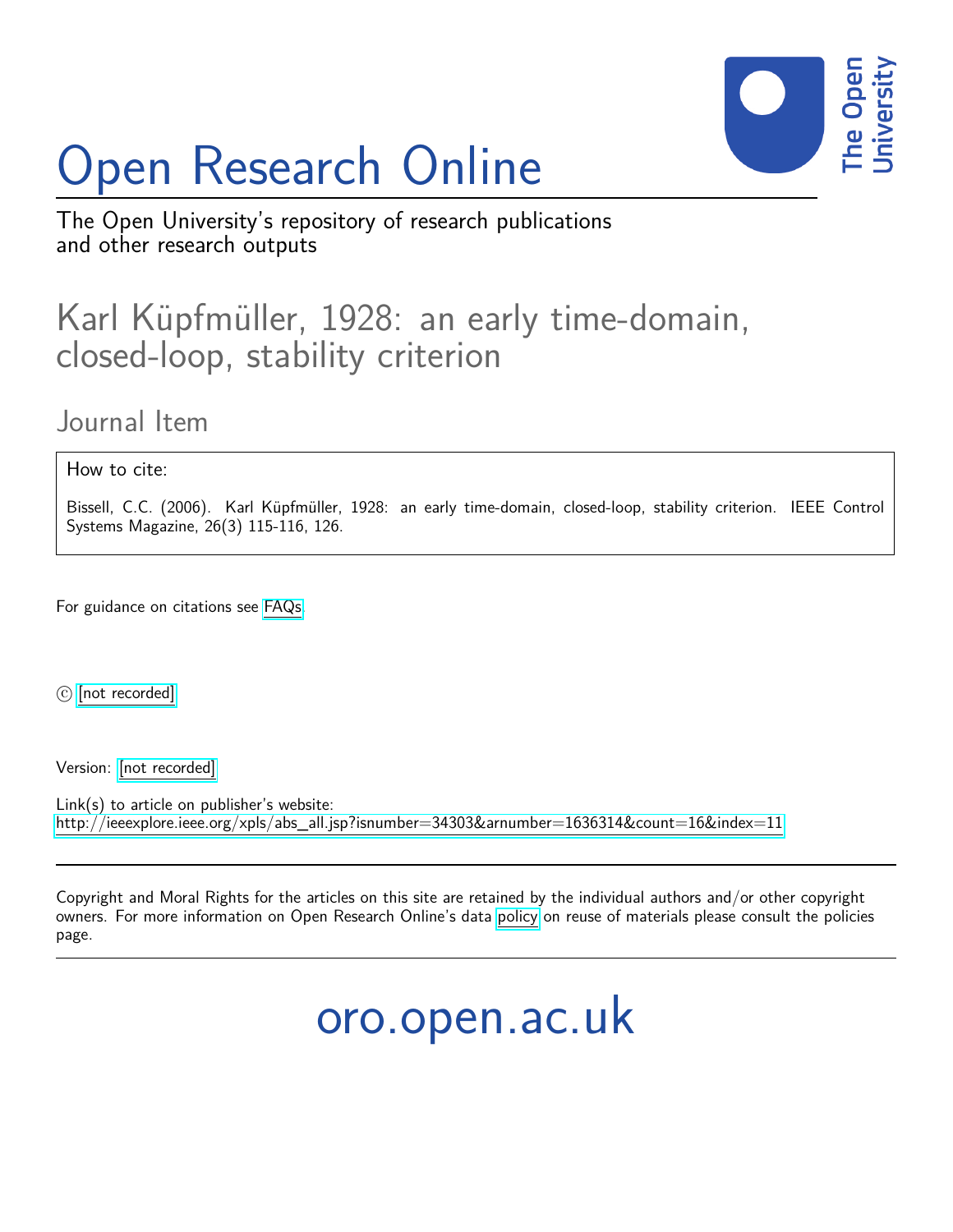# Open Research Online



The Open University's repository of research publications and other research outputs

## Karl Küpfmüller, 1928: an early time-domain, closed-loop, stability criterion

### Journal Item

#### How to cite:

Bissell, C.C. (2006). Karl Küpfmüller, 1928: an early time-domain, closed-loop, stability criterion. IEEE Control Systems Magazine, 26(3) 115-116, 126.

For guidance on citations see [FAQs.](http://oro.open.ac.uk/help/helpfaq.html)

 $\odot$  [\[not recorded\]](http://oro.open.ac.uk/help/helpfaq.html#Unrecorded_information_on_coversheet)

Version: [\[not recorded\]](http://oro.open.ac.uk/help/helpfaq.html#Unrecorded_information_on_coversheet)

Link(s) to article on publisher's website: [http://ieeexplore.ieee.org/xpls/abs\\_all.jsp?isnumber=34303&arnumber=1636314&count=16&index=11](http://ieeexplore.ieee.org/xpls/abs_all.jsp?isnumber=34303&arnumber=1636314&count=16&index=11)

Copyright and Moral Rights for the articles on this site are retained by the individual authors and/or other copyright owners. For more information on Open Research Online's data [policy](http://oro.open.ac.uk/policies.html) on reuse of materials please consult the policies page.

## oro.open.ac.uk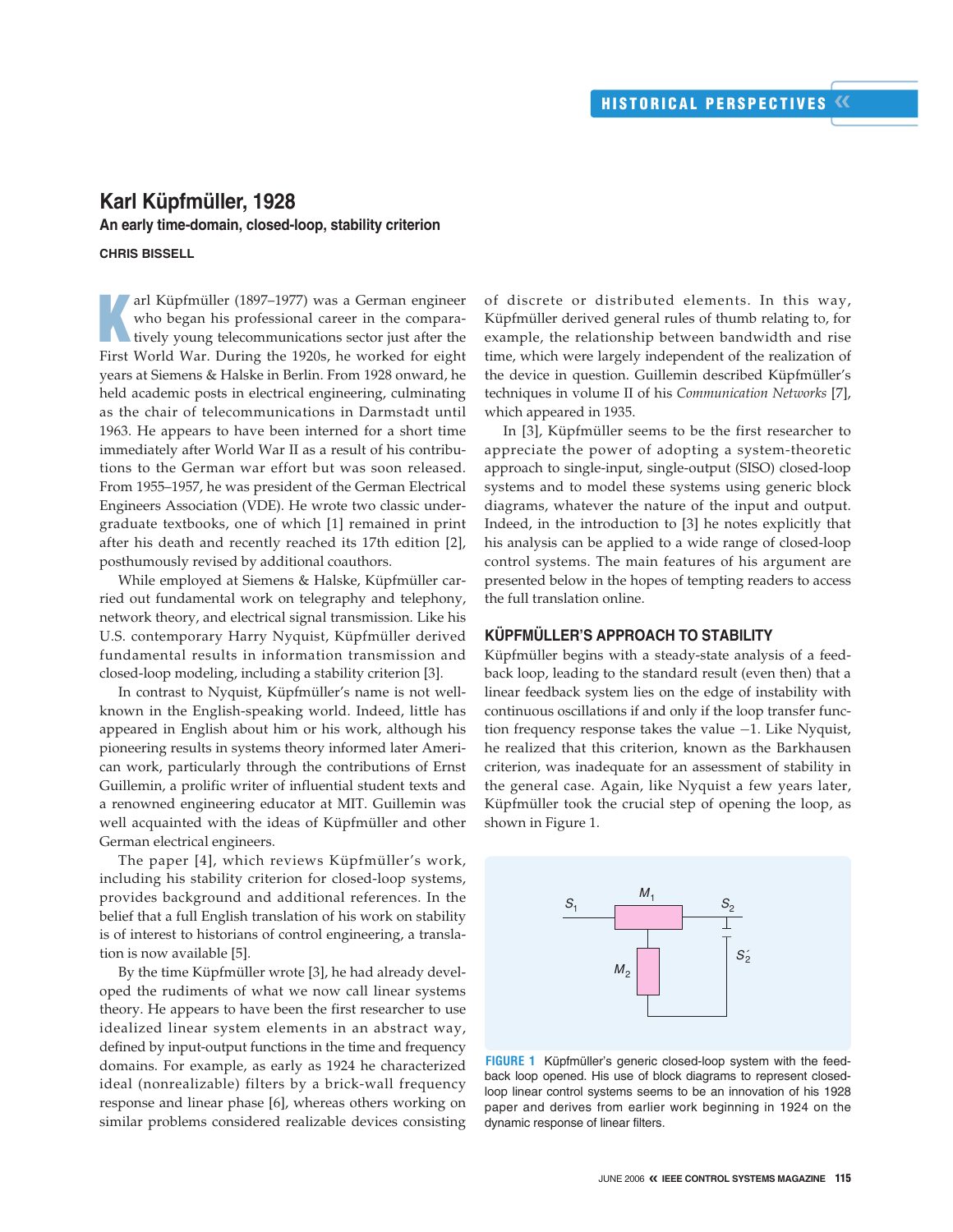#### **Karl Küpfmüller, 1928 An early time-domain, closed-loop, stability criterion**

#### **CHRIS BISSELL**

**K** arl Küpfmüller (1897–1977) was a German engineer who began his professional career in the comparatively young telecommunications sector just after the First World War. During the 1920s, he worked for eight years at Siemens & Halske in Berlin. From 1928 onward, he held academic posts in electrical engineering, culminating as the chair of telecommunications in Darmstadt until 1963. He appears to have been interned for a short time immediately after World War II as a result of his contributions to the German war effort but was soon released. From 1955–1957, he was president of the German Electrical Engineers Association (VDE). He wrote two classic undergraduate textbooks, one of which [1] remained in print after his death and recently reached its 17th edition [2], posthumously revised by additional coauthors.

While employed at Siemens & Halske, Küpfmüller carried out fundamental work on telegraphy and telephony, network theory, and electrical signal transmission. Like his U.S. contemporary Harry Nyquist, Küpfmüller derived fundamental results in information transmission and closed-loop modeling, including a stability criterion [3].

In contrast to Nyquist, Küpfmüller's name is not wellknown in the English-speaking world. Indeed, little has appeared in English about him or his work, although his pioneering results in systems theory informed later American work, particularly through the contributions of Ernst Guillemin, a prolific writer of influential student texts and a renowned engineering educator at MIT. Guillemin was well acquainted with the ideas of Küpfmüller and other German electrical engineers.

The paper [4], which reviews Küpfmüller's work, including his stability criterion for closed-loop systems, provides background and additional references. In the belief that a full English translation of his work on stability is of interest to historians of control engineering, a translation is now available [5].

By the time Küpfmüller wrote [3], he had already developed the rudiments of what we now call linear systems theory. He appears to have been the first researcher to use idealized linear system elements in an abstract way, defined by input-output functions in the time and frequency domains. For example, as early as 1924 he characterized ideal (nonrealizable) filters by a brick-wall frequency response and linear phase [6], whereas others working on similar problems considered realizable devices consisting of discrete or distributed elements. In this way, Küpfmüller derived general rules of thumb relating to, for example, the relationship between bandwidth and rise time, which were largely independent of the realization of the device in question. Guillemin described Küpfmüller's techniques in volume II of his *Communication Networks* [7], which appeared in 1935.

In [3], Küpfmüller seems to be the first researcher to appreciate the power of adopting a system-theoretic approach to single-input, single-output (SISO) closed-loop systems and to model these systems using generic block diagrams, whatever the nature of the input and output. Indeed, in the introduction to [3] he notes explicitly that his analysis can be applied to a wide range of closed-loop control systems. The main features of his argument are presented below in the hopes of tempting readers to access the full translation online.

#### **KÜPFMÜLLER'S APPROACH TO STABILITY**

Küpfmüller begins with a steady-state analysis of a feedback loop, leading to the standard result (even then) that a linear feedback system lies on the edge of instability with continuous oscillations if and only if the loop transfer function frequency response takes the value −1. Like Nyquist, he realized that this criterion, known as the Barkhausen criterion, was inadequate for an assessment of stability in the general case. Again, like Nyquist a few years later, Küpfmüller took the crucial step of opening the loop, as shown in Figure 1.



**FIGURE 1** Küpfmüller's generic closed-loop system with the feedback loop opened. His use of block diagrams to represent closedloop linear control systems seems to be an innovation of his 1928 paper and derives from earlier work beginning in 1924 on the dynamic response of linear filters.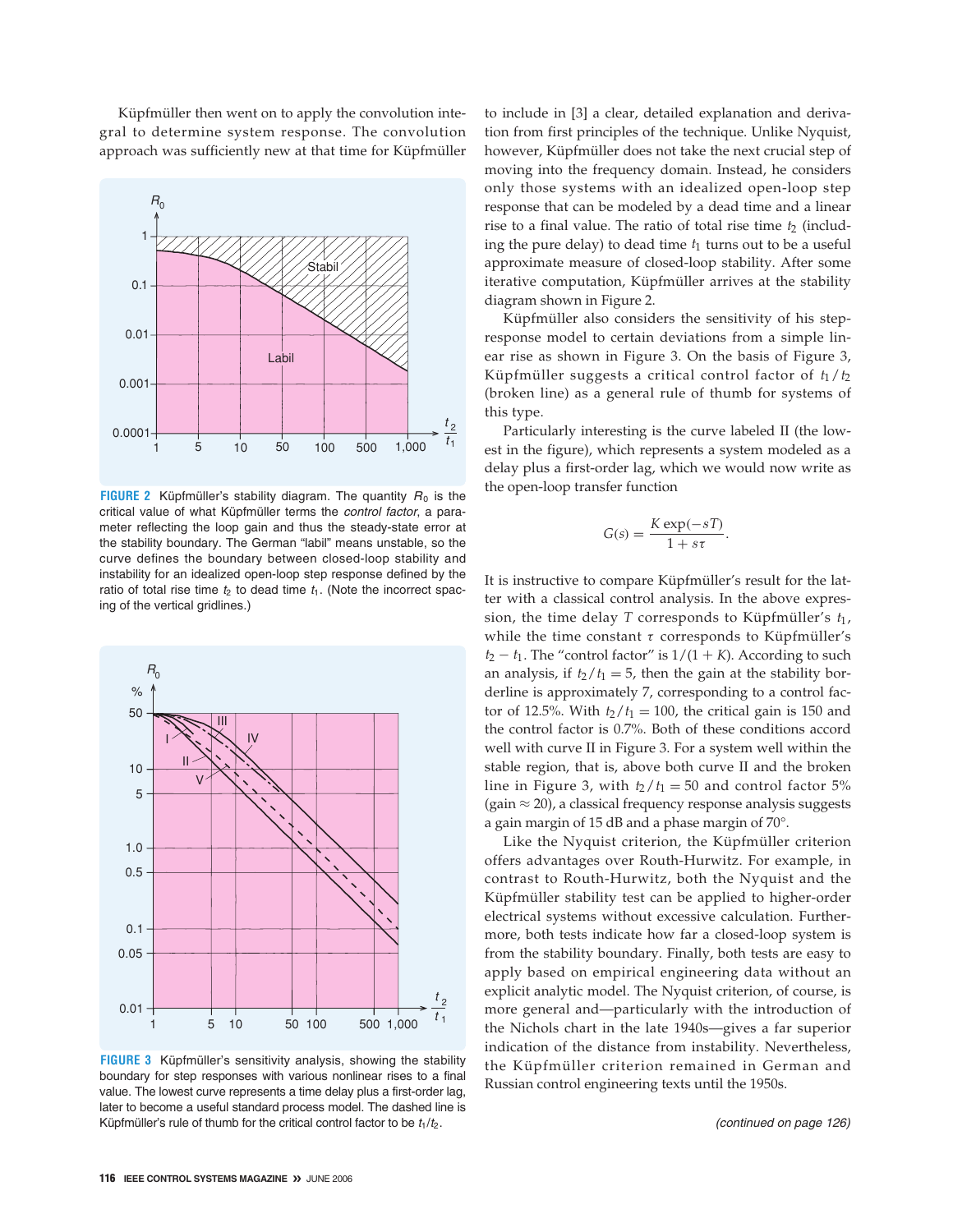Küpfmüller then went on to apply the convolution integral to determine system response. The convolution approach was sufficiently new at that time for Küpfmüller



**FIGURE 2** Küpfmüller's stability diagram. The quantity  $R_0$  is the critical value of what Küpfmüller terms the *control factor*, a parameter reflecting the loop gain and thus the steady-state error at the stability boundary. The German "labil" means unstable, so the curve defines the boundary between closed-loop stability and instability for an idealized open-loop step response defined by the ratio of total rise time  $t_2$  to dead time  $t_1$ . (Note the incorrect spacing of the vertical gridlines.)



**FIGURE 3** Küpfmüller's sensitivity analysis, showing the stability boundary for step responses with various nonlinear rises to a final value. The lowest curve represents a time delay plus a first-order lag, later to become a useful standard process model. The dashed line is Küpfmüller's rule of thumb for the critical control factor to be  $t_1/t_2$ .

to include in [3] a clear, detailed explanation and derivation from first principles of the technique. Unlike Nyquist, however, Küpfmüller does not take the next crucial step of moving into the frequency domain. Instead, he considers only those systems with an idealized open-loop step response that can be modeled by a dead time and a linear rise to a final value. The ratio of total rise time  $t_2$  (including the pure delay) to dead time  $t_1$  turns out to be a useful approximate measure of closed-loop stability. After some iterative computation, Küpfmüller arrives at the stability diagram shown in Figure 2.

Küpfmüller also considers the sensitivity of his stepresponse model to certain deviations from a simple linear rise as shown in Figure 3. On the basis of Figure 3, Küpfmüller suggests a critical control factor of *t*1/*t*<sup>2</sup> (broken line) as a general rule of thumb for systems of this type.

Particularly interesting is the curve labeled II (the lowest in the figure), which represents a system modeled as a delay plus a first-order lag, which we would now write as the open-loop transfer function

$$
G(s) = \frac{K \exp(-sT)}{1 + s\tau}.
$$

It is instructive to compare Küpfmüller's result for the latter with a classical control analysis. In the above expression, the time delay *T* corresponds to Küpfmüller's  $t_1$ , while the time constant  $\tau$  corresponds to Küpfmüller's  $t_2 - t_1$ . The "control factor" is  $1/(1 + K)$ . According to such an analysis, if  $t_2/t_1 = 5$ , then the gain at the stability borderline is approximately 7, corresponding to a control factor of 12.5%. With  $t_2/t_1 = 100$ , the critical gain is 150 and the control factor is 0.7%. Both of these conditions accord well with curve II in Figure 3. For a system well within the stable region, that is, above both curve II and the broken line in Figure 3, with  $t_2/t_1 = 50$  and control factor 5% (gain  $\approx$  20), a classical frequency response analysis suggests a gain margin of 15 dB and a phase margin of 70°.

Like the Nyquist criterion, the Küpfmüller criterion offers advantages over Routh-Hurwitz. For example, in contrast to Routh-Hurwitz, both the Nyquist and the Küpfmüller stability test can be applied to higher-order electrical systems without excessive calculation. Furthermore, both tests indicate how far a closed-loop system is from the stability boundary. Finally, both tests are easy to apply based on empirical engineering data without an explicit analytic model. The Nyquist criterion, of course, is more general and—particularly with the introduction of the Nichols chart in the late 1940s—gives a far superior indication of the distance from instability. Nevertheless, the Küpfmüller criterion remained in German and Russian control engineering texts until the 1950s.

*(continued on page 126)*